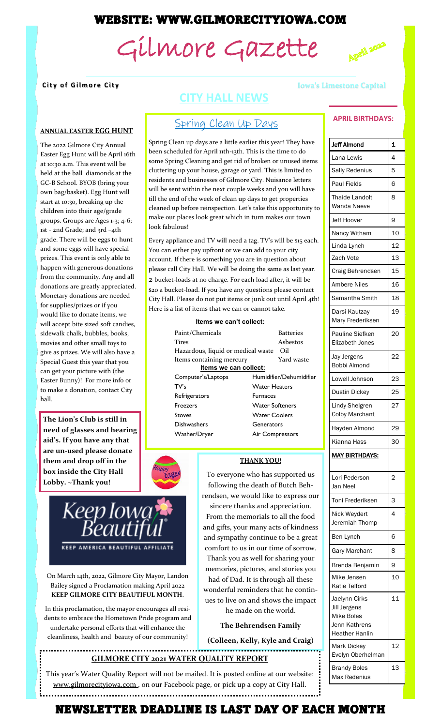# WEBSITE: WWW.GILMORECITYIOWA.COM

# Gilmore Gazette



#### **ANNUAL EASTER EGG HUNT**

The 2022 Gilmore City Annual Easter Egg Hunt will be April 16th at 10:30 a.m. This event will be held at the ball diamonds at the GC-B School. BYOB (bring your own bag/basket). Egg Hunt will start at 10:30, breaking up the children into their age/grade groups. Groups are Ages 1-3; 4-6; 1st - 2nd Grade; and 3rd –4th grade. There will be eggs to hunt and some eggs will have special prizes. This event is only able to happen with generous donations from the community. Any and all donations are greatly appreciated. Monetary donations are needed for supplies/prizes or if you would like to donate items, we will accept bite sized soft candies, sidewalk chalk, bubbles, books, movies and other small toys to give as prizes. We will also have a Special Guest this year that you can get your picture with (the Easter Bunny)! For more info or to make a donation, contact City hall.

**The Lion's Club is still in need of glasses and hearing aid's. If you have any that are un-used please donate them and drop off in the box inside the City Hall Lobby. ~Thank you!**

On March 14th, 2022, Gilmore City Mayor, Landon Bailey signed a Proclamation making April 2022 **KEEP GILMORE CITY BEAUTIFUL MONTH**.

**KEEP AMERICA BEAUTIFUL AFFILIATE** 

Keep Iowa<br>Beautiful

In this proclamation, the mayor encourages all residents to embrace the Hometown Pride program and undertake personal efforts that will enhance the cleanliness, health and beauty of our community!

# **CITY HALL NEWS**

# Spring Clean Up Days

Spring Clean up days are a little earlier this year! They have been scheduled for April 11th-13th. This is the time to do some Spring Cleaning and get rid of broken or unused items cluttering up your house, garage or yard. This is limited to residents and businesses of Gilmore City. Nuisance letters will be sent within the next couple weeks and you will have till the end of the week of clean up days to get properties cleaned up before reinspection. Let's take this opportunity to make our places look great which in turn makes our town look fabulous!

Every appliance and TV will need a tag. TV's will be \$15 each. You can either pay upfront or we can add to your city account. If there is something you are in question about please call City Hall. We will be doing the same as last year. 2 bucket-loads at no charge. For each load after, it will be \$20 a bucket-load. If you have any questions please contact City Hall. Please do not put items or junk out until April 4th! Here is a list of items that we can or cannot take.

#### **Items we can't collect:**

| Paint/Chemicals<br>Tires<br>Hazardous, liquid or medical waste | Batteries<br>Asbestos<br>Oil |  |
|----------------------------------------------------------------|------------------------------|--|
| Items containing mercury                                       | Yard waste                   |  |
| Items we can collect:                                          |                              |  |
| Computer's/Laptops                                             | Humidifier/Dehumidifier      |  |
| TV's                                                           | <b>Water Heaters</b>         |  |
| Refrigerators                                                  | <b>Furnaces</b>              |  |
| <b>Freezers</b>                                                | <b>Water Softeners</b>       |  |
| Stoves                                                         | <b>Water Coolers</b>         |  |
| Dishwashers                                                    | Generators                   |  |
| Washer/Dryer                                                   | Air Compressors              |  |



To everyone who has supported us following the death of Butch Behrendsen, we would like to express our sincere thanks and appreciation. From the memorials to all the food and gifts, your many acts of kindness and sympathy continue to be a great comfort to us in our time of sorrow. Thank you as well for sharing your memories, pictures, and stories you had of Dad. It is through all these

wonderful reminders that he continues to live on and shows the impact he made on the world.

**The Behrendsen Family** 

**(Colleen, Kelly, Kyle and Craig)**

# **GILMORE CITY 2021 WATER QUALITY REPORT**

This year's Water Quality Report will not be mailed. It is posted online at our website: www.gilmorecityiowa.com, on our Facebook page, or pick up a copy at City Hall.

#### **City of Gilmore City City City Iowa's Limestone Capital**

#### **APRIL BIRTHDAYS:**

| <b>Jeff Almond</b>                                                                           | 1              |
|----------------------------------------------------------------------------------------------|----------------|
| Lana Lewis                                                                                   | 4              |
| <b>Sally Redenius</b>                                                                        | 5              |
| Paul Fields                                                                                  | 6              |
| Thaide Landolt<br>Wanda Naeve                                                                | 8              |
| <b>Jeff Hoover</b>                                                                           | 9              |
| Nancy Witham                                                                                 | 10             |
| Linda Lynch                                                                                  | 12             |
| Zach Vote                                                                                    | 13             |
| Craig Behrendsen                                                                             | 15             |
| <b>Ambere Niles</b>                                                                          | 16             |
| Samantha Smith                                                                               | 18             |
| Darsi Kautzay<br>Mary Frederiksen                                                            | 19             |
| Pauline Siefken<br><b>Elizabeth Jones</b>                                                    | 20             |
| Jay Jergens<br>Bobbi Almond                                                                  | 22             |
| Lowell Johnson                                                                               | 23             |
| Dustin Dickey                                                                                | 25             |
| Lindy Shelgren<br><b>Colby Marchant</b>                                                      | 27             |
| Hayden Almond                                                                                | 29             |
| Kianna Hass                                                                                  | 30             |
| <b>MAY BIRTHDAYS:</b>                                                                        |                |
| Lori Pederson<br>Jan Neel                                                                    | $\overline{c}$ |
| Toni Frederiksen                                                                             | 3              |
| Nick Weydert<br>Jeremiah Thomp-                                                              | 4              |
| Ben Lynch                                                                                    | 6              |
| <b>Gary Marchant</b>                                                                         | 8              |
| Brenda Benjamin                                                                              | 9              |
| Mike Jensen<br>Katie Telford                                                                 | 10             |
| Jaelynn Cirks<br>Jill Jergens<br><b>Mike Boles</b><br>Jenn Kathrens<br><b>Heather Hanlin</b> | 11             |
| Mark Dickey<br>Evelyn Oberhelman                                                             | 12             |
| <b>Brandy Boles</b><br>Max Redenius                                                          | 13             |

# NEWSLETTER DEADLINE IS LAST DAY OF EACH MONTH